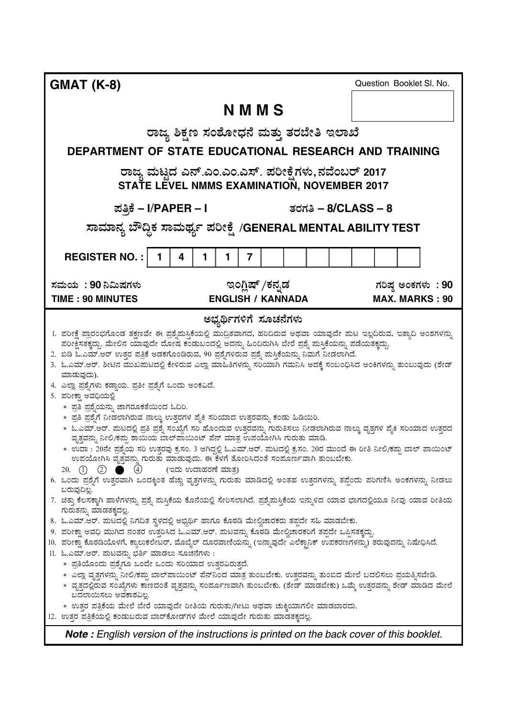**GMAT (K-8)** ರಾಜ್ನ ಶಿಕ್ಷಣ ಸಂಶೋದನೆ ಮತು ತರಬೇತಿ ಇಲಾಖೆ **DEPARTMENT OF STATE EDUCATIONAL RESEARCH AND TRAINING** .<br>ರಾಜ್ಯ ಮಟ್ಟದ ಎನ್.ಎಂ.ಎಂ.ಎಸ್. ಪರೀಕೈಗಳು,ನವೆಂಬರ್ 2017 **STATE LEVEL NMMS EXAMINATION, NOVEMBER 2017** # (**– I**/**PAPER – I** - % **– 8/CLASS – 8** ಸಾಮಾನ್ಯ ಬೌದ್ಧಿಕ ಸಾಮರ್ಥ್ಯ ಪರೀಕ್ಷೆ /GENERAL MENTAL ABILITY TEST **REGISTER NO.:** | 1 | 4 | 1 | 1 | 7 ಸಮಯ :  $\,$ ಇಂಗ್ಷಿಷ್ /ಕನ್ನಡ --**90 TIME : 90 MINUTES ENGLISH / KANNADA MAX. MARKS : 90** Question Booklet Sl. No. *Note : English version of the instructions is printed on the back cover of this booklet.* **N M M S** ಅಭ್ಯರ್ಥಿಗಳಿಗೆ ಸೂಚನೆಗಳು .<br>1. ಪರೀಕ್ಷೆ ಪಾರಂಭಗೊಂಡ ತಕ್ಷಣವೇ ಈ ಪಶ್ವೆಮಸ್ತಿಕೆಯಲ್ಲಿ ಮುದ್ರಿತವಾಗದ, ಹರಿದಿರುವ ಅಥವಾ ಯಾವುದೇ ಮಟ ಇಲ್ಲದಿರುವ, ಇತ್ತಾದಿ ಅಂಶಗಳನ್ನು ಪರೀಕ್ಷಿಸತಕ್ತದ್ದು. ಮೇಲಿನ ಯಾವುದೇ ದೋಷ ಕಂಡುಬಂದಲ್ಲಿ ಅದನ್ನು ಹಿಂದಿರುಗಿಸಿ ಬೇರೆ ಪ್ರಶ್ನೆ ಮಸಿಕೆಯನ್ನು ಪಡೆಯತಕ್ಕದ್ದು. . ಬಿಡಿ ಓ.ಎಮ್.ಆರ್ ಉತರ ಪತಿಕೆ ಅಡಕಗೊಂಡಿರುವ, 90 ಪಶ್ಗೆಗಳಿರುವ ಪಶ್ಗೆ ಮಸಿಕೆಯನ್ನು ನಿಮಗೆ ನೀಡಲಾಗಿದೆ. . ಓ.ಎಮ್.ಆರ್. ಶೀಟಿನ ಮುಖಮಟದಲ್ಲಿ ಕೇಳಿರುವ ಎಲ್ಲಾ ಮಾಹಿತಿಗಳನ್ನು ಸರಿಯಾಗಿ ಗಮನಿಸಿ ಅದಕ್ಕೆ ಸಂಬಂಧಿಸಿದ ಅಂಕಿಗಳನ್ನು ತುಂಬುವುದು (ಶೇಡ್ 'ಮಾಡುವುದು). .<br>4. ಎಲಾ ಪಶೆ.ಗಳು ಕಡಾಯ. ಪತೀ ಪಶೆ.ಗೆ ಒಂದು ಅಂಕವಿದೆ. . ಪರೀಕಾ ಅವದಿಯಲಿ .<br>\* ಪತಿ ಪಶೆ.ಯನು. ಜಾಗರೂಕತೆಯಿಂದ ಓದಿರಿ. \*್ಮತಿ ಪಶೈಗೆ ನೀಡಲಾಗಿರುವ ನಾಲು ಉತರಗಳ ಪ್ರೆಕಿ ಸರಿಯಾದ ಉತರವನು, ಕಂಡು ಹಿಡಿಯಿರಿ. ∗ ಓ.ಎಮ್.ಆರ್. ಮಟದಲಿ ಪತಿ ಪಶೆ. ಸಂಖೆಗೆ ಸರಿ ಹೊಂದುವ ಉತರವನು. ಗುರುತಿಸಲು ನೀಡಲಾಗಿರುವ ನಾಲು ವ.ತಗಳ ಪೆ.ಕಿ ಸರಿಯಾದ ಉತರದ ವ್ರತ್ನನು ನೀಲಿ/ಕಮ ಶಾಯಿಯ ಬಾಲ್ಪಾಯಿಂಟ್ ಪೆನ್ ಮಾತ್ರ ಉಪಯೋಗಿಸಿ ಗುರುತು ಮಾಡಿ. \* ಉದಾ : 20ನೇ ಪ್ರಶ್ನೆಯ ಸರಿ ಉತ್ತರವು ಕ್ರಸಂ. 3 ಆಗಿದ್ದಲ್ಲಿ ಓ.ಎಮ್.ಆರ್. ಮಟದಲ್ಲಿ ಕ್ರಸಂ. 20ರ ಮುಂದೆ ಈ ರೀತಿ ನೀಲಿ/ಕಪ್ಪು ಬಾಲ್ ಪಾಯಿಂಟ್ ಉಪಯೋಗಿಸಿ ವೃತ್ತವನ್ನು ಗುರುತು ಮಾಡುವುದು. ಈ ಕೆಳಗೆ ತೋರಿಸಿದಂತೆ ಸಂಪೂರ್ಣವಾಗಿ ತುಂಬಬೇಕು. 6@ ------6 K I)"-.<br>ಉದಾಹರಣೆ ಮಾತು 6. ಒಂದು ಪಶೆ.ಗೆ ಉತರವಾಗಿ ಒಂದಕಿಂತ ಹೆಚು ವತಗಳನು. ಗುರುತು ಮಾಡಿದಲಿ ಅಂತಹ ಉತರಗಳನ್ನು ತಪೆಂದು ಪರಿಗಣಿಸಿ ಅಂಕಗಳನ್ನು ನೀಡಲು ಬರುವುದಿಲ್ಲ. . ಚಿತ್ತು ಕೆಲಸಕ್ತಾಗಿ ಹಾಳೆಗಳನ್ನು ಪ್ರಶ್ನೆ ಮಸಿಕೆಯ ಕೊನೆಯಲ್ಲಿ ಸೇರಿಸಲಾಗಿದೆ. ಪ್ರಶ್ನೆಮಸಿಕೆಯ ಇನ್ಸುಳಿದ ಯಾವ ಭಾಗದಲ್ಲಿಯೂ ನೀವು ಯಾವ ರೀತಿಯ ಗುರುತನು. ಮಾಡತಕದಲ. . ಓ.ಎಮ್.ಆರ್. ಮಟದಲಿ ನಿಗದಿತ ಸಳದಲಿ ಅಬರ್ಥಿ ಹಾಗೂ ಕೊಠಡಿ ಮೇಲಿಚಾರಕರು ತಪದೇ ಸಹಿ ಮಾಡಬೇಕು. 9. ಪರೀಕಾ ಅವದಿ ಮುಗಿದ ನಂತರ ಉತರಿಸಿದ ಓ.ಎಮ್.ಆರ್. ಮಟವನು. ಕೊಠಡಿ ಮೇಲಿಚಾರಕರಿಗೆ ತಪದೇ ಒಪಿಸತಕದು. 10. ಪರೀಕ್ಷಾ ಕೊಠಡಿಯೊಳಗೆ, ಕ್ಶಾಲುಕಲೇಟರ್, ಮೊಬೈಲ್ ದೂರವಾಣಿಯನ್ನು (ಇನ್ನಾವುದೇ ಎಲೆಕ್ಷಾನಿಕ್ ಉಪಕರಣಗಳನ್ನು) ತರುವುದನ್ನು ನಿಷೇಧಿಸಿದೆ. .<br>11. ಓ.ಎಮ್.ಆರ್. ಮಟವನು. ಬರ್ತಿ ಮಾಡಲು ಸೂಚನೆಗಳು : \* ಪತಿಯೊಂದು ಪಶೆ,ಗೂ ಒಂದೇ ಒಂದು ಸರಿಯಾದ ಉತರವಿರುತದೆ. \* ಎಲ್ಲಾ ವೃತಗಳನ್ನು ನೀಲಿ/ಕಮ ಬಾಲ್ಪಾಯಿಂಟ್ ಪೆನ್ನೌಂದ ಮಾತ್ರ ತುಂಬಬೇಕು. ಉತರವನ್ನು ತುಂಬಿದ ಮೇಲೆ ಬದಲಿಸಲು ಪಯತ್ನಿಸಬೇಡಿ. \* ವೃತದಲ್ಲಿರುವ ಸಂಖ್ಯೆಗಳು ಕಾಣದಂತೆ ವೃತ್ತವನ್ನು ಸಂರ್ಪೂಣವಾಗಿ ತುಂಬಬೇಕು. (ಶೇಡ್ ಮಾಡಬೇಕು) ಒಮ್ತೆ ಉತ್ತರವನ್ನು ಶೇಡ್ ಮಾಡಿದ ಮೇಲೆ .<br>ಬದಲಾಯಿಸಲು ಅವಕಾಶವಿಲ. \* ಉತ್ತರ ಪತ್ರಿಕೆಯ ಮೇಲೆ ಬೇರೆ ಯಾವುದೇ ರೀತಿಯ ಗುರುತು/ಗೀಟು ಅಥವಾ ಚುಕ್ಕಿಯಾಗಲೀ ಮಾಡಬಾರದು. .<br>12. ಉತ್ತರ ಪತ್ರಿಕೆಯಲ್ಲಿ ಕಂಡುಬರುವ ಬಾರ್ಕೋಡ್ಗಳ ಮೇಲೆ ಯಾವುದೇ ಗುರುತು ಮಾಡತಕ್ಕದಲ್ಲ.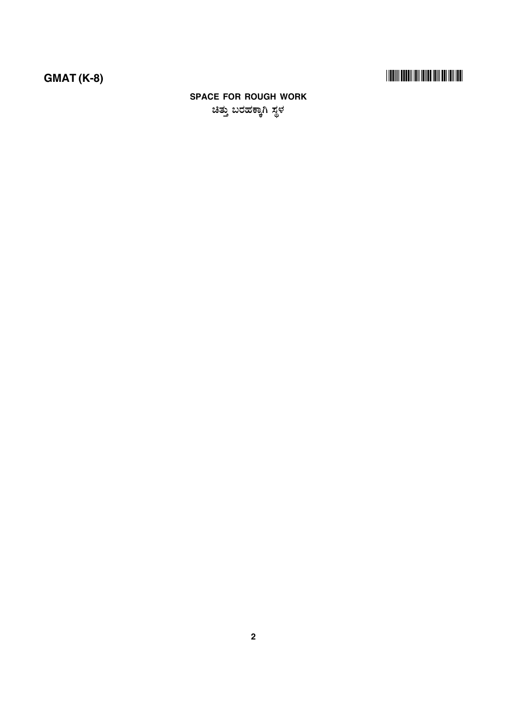# 

## **SPACE FOR ROUGH WORK** ಚಿತ್ತು ಬರಹಕ್ಕಾಗಿ ಸ್ಥಳ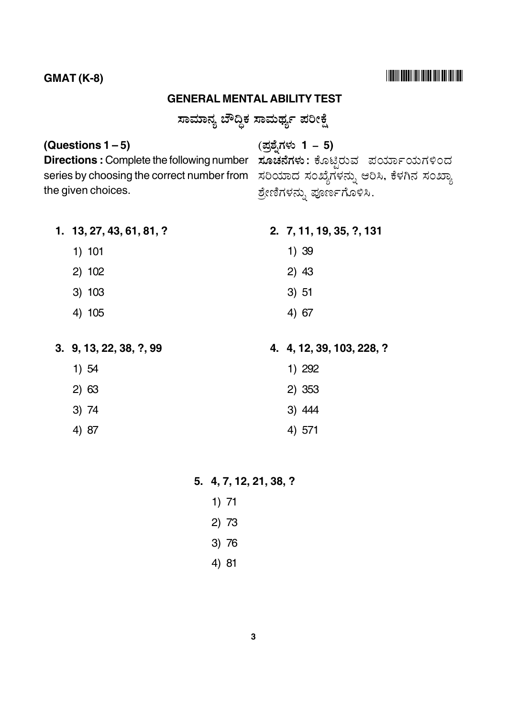#### $GMAT (K-8)$

#### **GENERAL MENTAL ABILITY TEST**

<u>ಸಾಮಾನ್ನ ಬೌದಿಕ ಸಾಮರ್ಥ್</u>ಲ ಪರೀಕೆ

#### **(Questions 1 – 5)**

?#( 4% & **1 – 5)**

**Directions :** Complete the following number series by choosing the correct number from ಸರಿಯಾದ ಸಂಖ್ಯೆಗಳನ್ನು ಆರಿಸಿ, ಕೆಳಗಿನ ಸಂಖ್ಯಾ the given choices.

.\_\_ .<br>**ಸೂಚನೆಗಳು**: ಕೊಟಿರುವ ಪರ್ಯಾಯಗಳಿಂದ ಶ್ರೇಣಿಗಳನ್ನು ಪೂರ್ಣಗೊಳಿಸಿ.

**1. 13, 27, 43, 61, 81, ?** 1) 101 2) 102 3) 103 4) 105 **2. 7, 11, 19, 35, ?, 131** 1) 39 2) 43 3) 51 4) 67

**3. 9, 13, 22, 38, ?, 99** 1) 54 2) 63 3) 74 4) 87 **4. 4, 12, 39, 103, 228, ?** 1) 292 2) 353 3) 444 4) 571

**5. 4, 7, 12, 21, 38, ?**

- 1) 71
- 2) 73
- 3) 76
- 4) 81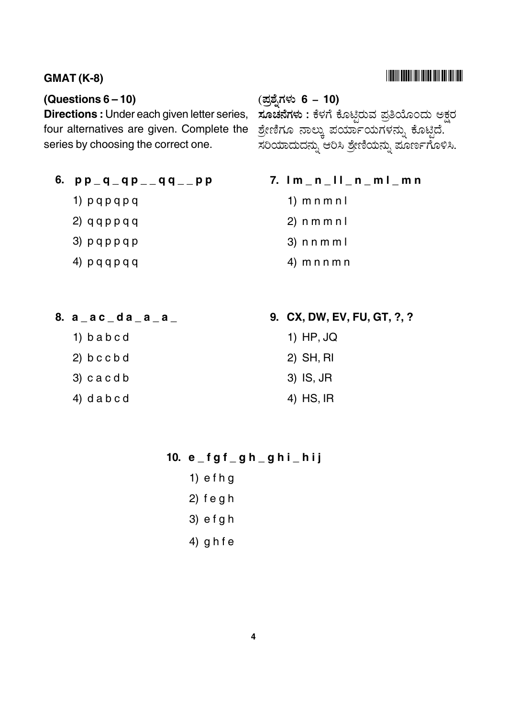#### **GMAT (K-8)** -

#### **(Questions 6 – 10)**

**Directions :** Under each given letter series, four alternatives are given. Complete the series by choosing the correct one.

- **6.**  $pp q q p$  =  $q q$  =  $pp$ 
	- 1) p q p q p q
	- $2)$  q q p p q q
	- 3) p q p p q p
	- 4) p q q p q q

# ?#( 4% & **6 – 10)** ್ತ್ತ್ನ<br>**ಸೂಚನೆಗಳು :** ಕೆಳಗೆ ಕೊಟಿರುವ ಪತಿಯೊಂದು ಅಕರ ಶ್ರೇಣಿಗೂ ನಾಲ್ಕು ಪರ್ಯಾಯಗಳನ್ನು ಕೊಟ್ಟಿದೆ. ಸರಿಯಾದುದನ್ನು ಆರಿಸಿ ಶ್ರೇಣಿಯನ್ನು ಪೂರ್ಣಗೊಳಿಸಿ.

- **7. l m \_ n \_ l l \_ n \_ m l \_ m n**
	- 1) m n m n l
	- 2) n m m n l
	- 3) n n m m l
	- 4) m n n m n

- **8. a \_ a c \_ d a \_ a \_ a \_**
	- 1) b a b c d
	- 2) b c c b d
	- 3) c a c d b
	- 4) d a b c d
- **9. CX, DW, EV, FU, GT, ?, ?**
	- 1) HP, JQ
	- 2) SH, RI
	- 3) IS, JR
	- 4) HS, IR

#### **10. e \_ f g f \_ g h \_ g h i \_ h i j**

- 1) e f h g 2) f e g h
- 3) e f g h
- 4) g h f e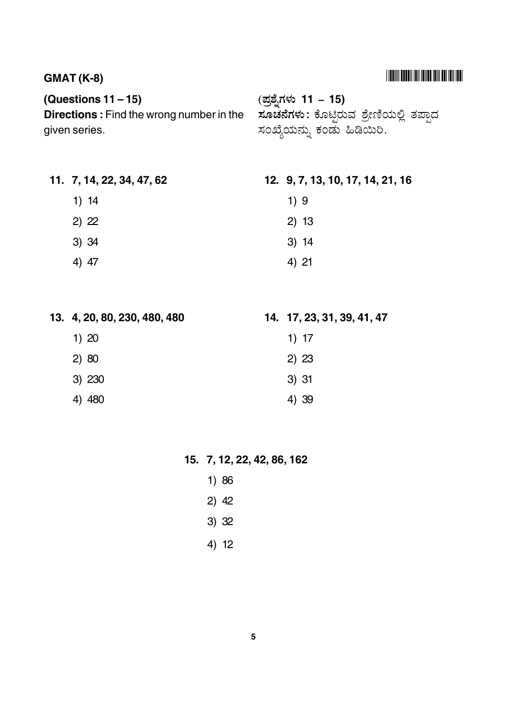## $GMAT (K-8)$

## **(Questions 11 – 15)**

1) 14

2) 22

3) 34

4) 47

**11. 7, 14, 22, 34, 47, 62**

?#( 4% & **11 – 15)** .\_\_ ್ನ<br>**ಸೂಚನೆಗಳು :** ಕೊಟಿರುವ ಶೇಣಿಯಲಿ ತಪಾದ .<br>ಸಂಖ್ಯೆಯನ್ನು ಕಂಡು ಹಿಡಿಯಿರಿ. **Directions :** Find the wrong number in the given series.

#### **12. 9, 7, 13, 10, 17, 14, 21, 16**

- 1) 9
- 2) 13
- 3) 14
- 4) 21

| 13. 4, 20, 80, 230, 480, 480 | 14. 17, 23, 31, 39, 41, 47 |
|------------------------------|----------------------------|
| 1)20                         | 1) 17                      |
| 2) 80                        | 2) 23                      |
| 3) 230                       | 3)31                       |
| - 480                        | 4) 39                      |

#### **15. 7, 12, 22, 42, 86, 162**

- 1) 86
- 2) 42
- 3) 32
- 4) 12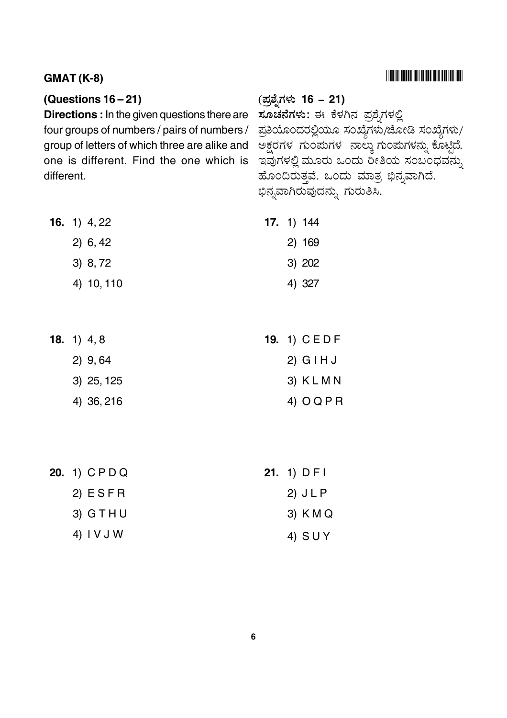## $GMAT (K-8)$

#### **(Questions 16 – 21)**

**Directions :** In the given questions there are four groups of numbers / pairs of numbers / group of letters of which three are alike and one is different. Find the one which is different.

# ?#( 4% & **16 – 21)** ್ತ್ರ್ನ<br>**ಸೂಚನೆಗಳು:** ಈ ಕೆಳಗಿನ ಪಶೆ.ಗಳಲಿ ಪ್ರತಿಯೊಂದರಲ್ಲಿಯೂ ಸಂಖ್ಯೆಗಳು/ಜೋಡಿ ಸಂಖ್ಯೆಗಳು/ .<br>ಅಕ್ಷರಗಳ ಗುಂಪುಗಳ ನಾಲ್ಕು ಗುಂಪುಗಳನ್ನು ಕೊಟ್ಟಿದೆ. 4 5 )\* 6 #
 7 8 ಹೊಂದಿರುತವೆ. ಒಂದು ಮಾತ ಬಿನ.ವಾಗಿದೆ. ಬಿನ.ವಾಗಿರುವುದನು. ಗುರುತಿಸಿ.

| <b>16.</b> 1) $4,22$ | <b>17.</b> 1) $144$ |
|----------------------|---------------------|
| 2) 6, 42             | 2)169               |
| 3) 8, 72             | 3) 202              |
| 4) 10, 110           | 4) 327              |

| <b>18.</b> 1) $4, 8$ | <b>19.</b> 1) CEDF |
|----------------------|--------------------|
| $2)$ 9,64            | $2)$ G I H J       |
| $3)$ 25, 125         | 3) KLMN            |
| 4) 36, 216           | 4) $OQPR$          |

| 20. 1) CPDQ | 21. $1)$ DFI |
|-------------|--------------|
| 2) ESFR     | $2)$ J L P   |
| $3)$ GTHU   | 3) K M Q     |
| 4) I V J W  | 4) SUY       |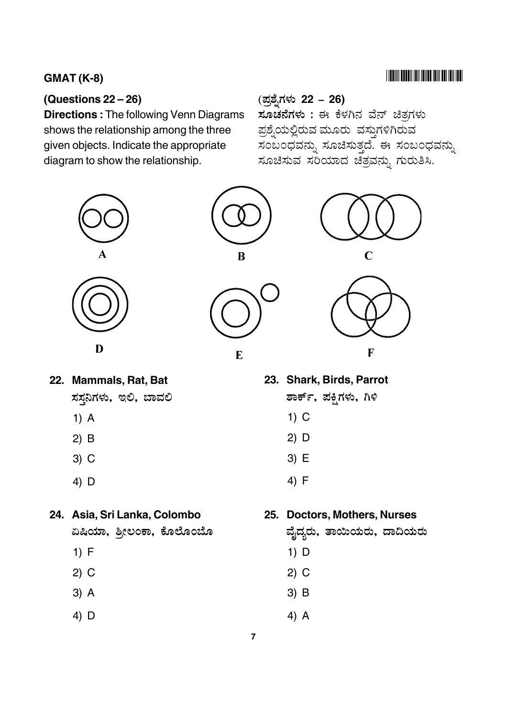## **(Questions 22 – 26)**

**Directions :** The following Venn Diagrams shows the relationship among the three given objects. Indicate the appropriate diagram to show the relationship.

## -

?#( 4% & **22 – 26)** ್ತ್ತ್ನ<br>**ಸೂಚನೆಗಳು :** ಈ ಕೆಳಗಿನ ವೆನ್ ಚಿತಗಳು ಪಶೆ.ಯಲಿರುವ ಮೂರು ವಸುಗಳಿಗಿರುವ ್ನ .<br>ಸಂಬಂದವನು. ಸೂಚಿಸುತದೆ. ಈ ಸಂಬಂದವನು. ಸೂಚಿಸುವ ಸರಿಯಾದ ಚತವನು ಗುರುತಿಸಿ.







**22. Mammals, Rat, Bat** ಸಸನಿಗಳು, ಇಲಿ, ಬಾವಲಿ

- 1) A
- 2) B
- 3) C
- 4) D

#### **24. Asia, Sri Lanka, Colombo**

ಏಷಿಯಾ, ಶ್ರೀಲಂಕಾ, ಕೊಲೊಂಬೊ

- 1) F
- 2) C
- 3) A
- 4) D

## **23. Shark, Birds, Parrot**

- ಶಾರ್ಕ್. ಪಕಿಗಳು. ಗಿಳಿ
- 1) C
- 2) D
- 3) E
- 4) F

## **25. Doctors, Mothers, Nurses**

ವೆ,ದ್ರರು. ತಾಯಿಯರು. ದಾದಿಯರು

- 1) D
- 2) C
- 3) B
- 4) A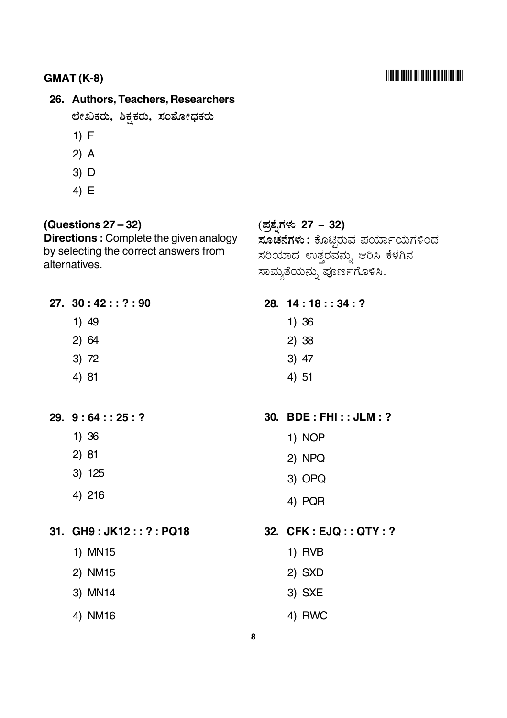#### **GMAT (K-8)** -

# **26. Authors, Teachers, Researchers**

ಲೇಖಕರು. ಶಿಕ್ಕರು, ಸಂಶೋದಕರು

- 1) F
- 2) A
- 3) D
- 4) E

#### **(Questions 27 – 32)**

**Directions :** Complete the given analogy by selecting the correct answers from alternatives.

## ?#( 4% & **27 – 32) ಸೂಚನೆಗಳು** : ಕೊಟಿರುವ ಪರ್ಯಾಯಗಳಿಂದ ಸರಿಯಾದ ಉತರವನು. ಆರಿಸಿ ಕೆಳಗಿನ .<br>ಸಾಮ್ನತೆಯನ್ನು ಪೂರ್ಣಗೊಳಿಸಿ.

**27. 30 : 42 : : ? : 90**

- 1) 49
- 2) 64
- 3) 72
- 4) 81

**29. 9 : 64 : : 25 : ?**

- 1) 36
- 2) 81
- 3) 125
- 4) 216

**31. GH9 : JK12 : : ? : PQ18**

- 1) MN15
- 2) NM15
- 3) MN14
- 4) NM16

#### **28. 14 : 18 : : 34 : ?**

- 1) 36
- 2) 38
- 3) 47
- 4) 51

**30. BDE : FHI : : JLM : ?**

- 1) NOP
- 2) NPQ
- 3) OPQ
- 4) PQR

**32. CFK : EJQ : : QTY : ?**

- 1) RVB
- 2) SXD
- 3) SXE
- 4) RWC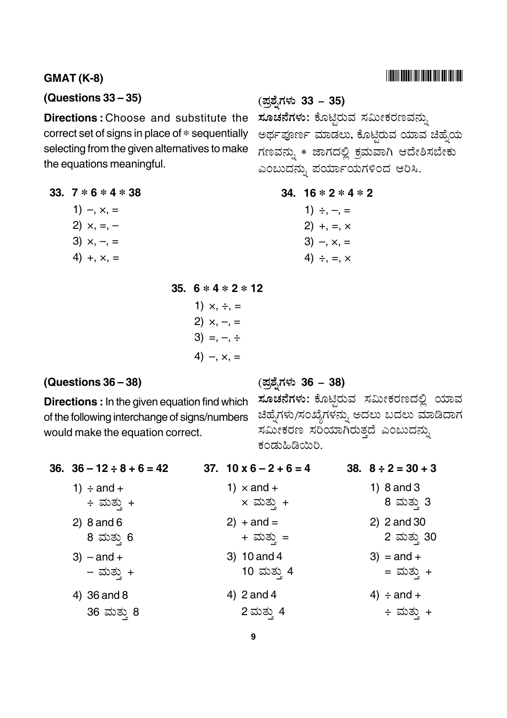#### 

#### **GMAT (K-8)**

#### (Questions  $33 - 35$ )

**Directions: Choose and substitute the** correct set of signs in place of \* sequentially selecting from the given alternatives to make the equations meaningful.

33.  $7 * 6 * 4 * 38$ 

- 1)  $-, x, =$ 2)  $\times$ , =, - $3) \times, -, =$
- $4) + x =$

35.  $6 * 4 * 2 * 12$ 

1)  $\times$ ,  $\div$ , =  $2) \times, -, =$  $3) = -$ ,  $\div$ 4)  $-, x, =$ 

#### (Questions  $36 - 38$ )

**Directions:** In the given equation find which of the following interchange of signs/numbers would make the equation correct.

#### (ಪ್ರಶ್ನೆಗಳು 33 – 35)

ಸೂಚನೆಗಳು: ಕೊಟ್ಟಿರುವ ಸಮೀಕರಣವನ್ನು ಅರ್ಥಪೂರ್ಣ ಮಾಡಲು, ಕೊಟ್ಟಿರುವ ಯಾವ ಚಿಹ್ನೆಯ ಗಣವನ್ನು \* ಜಾಗದಲ್ಲಿ ಕ್ರಮವಾಗಿ ಆದೇಶಿಸಬೇಕು ಎಂಬುದನ್ನು ಪರ್ಯಾಯಗಳಿಂದ ಆರಿಸಿ.

34.  $16 * 2 * 4 * 2$ 

1)  $\div, -, =$  $2) + 1 = x$  $3) - x = x = 3$ 4)  $\div$  =  $\times$ 

(ಪ್ರಶೈಗಳು 36 – 38)

ಸೂಚನೆಗಳು: ಕೊಟ್ಟಿರುವ ಸಮೀಕರಣದಲ್ಲಿ ಯಾವ ಚಿಹ್ನೆಗಳು/ಸಂಖ್ಯೆಗಳನ್ನು ಅದಲು ಬದಲು ಮಾಡಿದಾಗ ಸಮೀಕರಣ ಸರಿಯಾಗಿರುತ್ತದೆ ಎಂಬುದನ್ನು ಕಂಡುಹಿಡಿಯಿರಿ.

| 36. $36 - 12 \div 8 + 6 = 42$ | 37. $10 \times 6 - 2 + 6 = 4$ | 38. $8 \div 2 = 30 + 3$ |
|-------------------------------|-------------------------------|-------------------------|
| 1) $\div$ and $+$             | 1) $\times$ and +             | 1) $8$ and $3$          |
| ÷ ಮತ್ತು +                     | × ಮತ್ತು +                     | 8 ಮತ್ತು 3               |
| 2) $8$ and $6$                | 2) $+$ and $=$                | $2)$ 2 and 30           |
| 8 ಮತ್ತು 6                     | + ಮತ್ತು =                     | 2 ಮತ್ತು 30              |
| $3)$ – and +                  | 3) $10$ and 4                 | $3) =$ and +            |
| – ಮತ್ತು +                     | 10 ಮತ್ತು 4                    | = ಮತ್ತು +               |
| 4) 36 and 8                   | 4) $2$ and 4                  | 4) $\div$ and $+$       |
| 36 ಮತ್ತು 8                    | 2 ಮತ್ತು 4                     | ÷ ಮತ್ತು +               |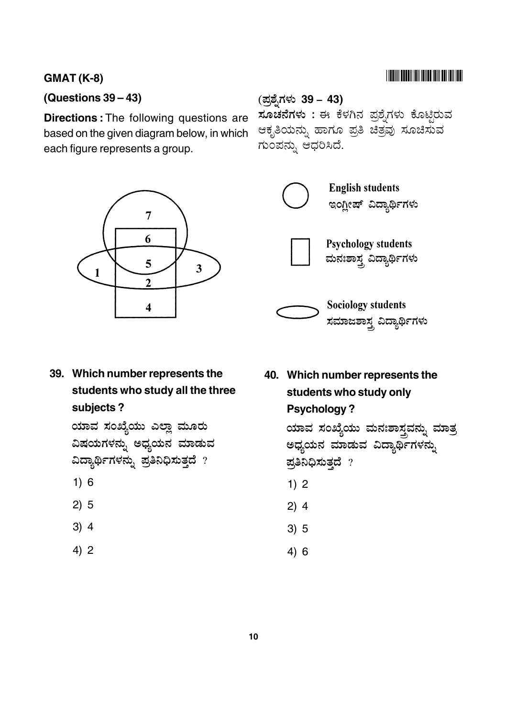#### **GMAT (K-8)**

#### **(Questions 39 – 43)**

**Directions :** The following questions are based on the given diagram below, in which each figure represents a group.







**39. Which number represents the students who study all the three subjects ?**

> ಯಾವ ಸಂಖ್ಯೆಯು ಎಲಾ ಮೂರು ವಿಷಯಗಳನ್ನು ಅಧ್ಯಯನ ಮಾಡುವ ವಿದ್ಯಾರ್ಥಿಗಳನ್ನು ಪ್ರತಿನಿಧಿಸುತ್ತದೆ  $?$

- 1) 6
- 2) 5
- 3) 4
- 4) 2

**40. Which number represents the students who study only Psychology ?**

> ಯಾವ ಸಂಖ್ಯೆಯು ಮನಃಶಾಸ್ತ್ರವನ್ನು ಮಾತ್ರ ಅಧ್ಯಯನ ಮಾಡುವ ವಿದ್ಯಾರ್ಥಿಗಳನ್ನು ಪ್ರತಿನಿಧಿಸುತ್ತದೆ  $?$

- 1) 2
- 2) 4
- 3) 5
- 4) 6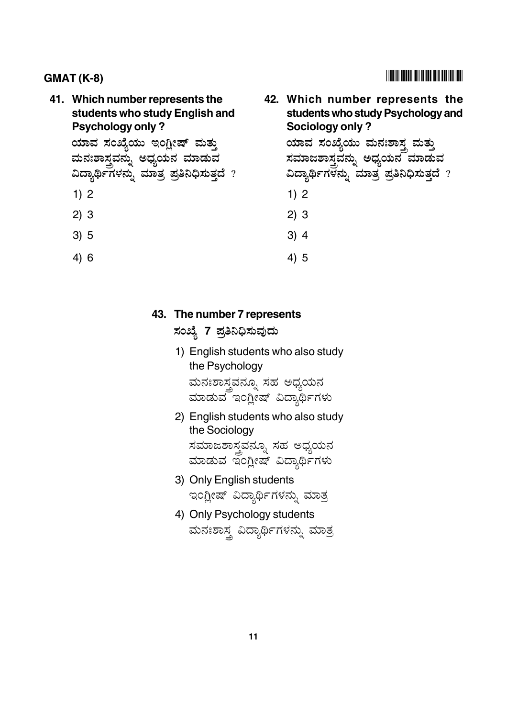## **41. Which number represents the students who study English and Psychology only ?**

ಯಾವ ಸಂಖ್ಯೆಯು ಇಂಗ್ಲೀಷ್ ಮತ್ತು ಮನಃಶಾಸ್ತ್ರವನ್ನು ಅಧ್ಯಯನ ಮಾಡುವ ವಿದ್ಯಾರ್ಥಿಗಳನ್ನು ಮಾತ್ರ ಪ್ರತಿನಿಧಿಸುತ್ತದೆ  $\,$  ?

- 1) 2
- 2) 3
- 3) 5
- 4) 6

# **42. Which number represents the students who study Psychology and**

ಯಾವ ಸಂಖ್ಯೆಯು ಮನಃಶಾಸ್ತ್ರ ಮತ್ತು <u>ಸಮಾಜಶಾಸ್ತ್ರವನ್ನು ಅಧ್ಯಯನ ಮಾಡುವ</u> ವಿದ್ಯಾರ್ಥಿಗಳನ್ನು ಮಾತ್ರ ಪ್ರತಿನಿಧಿಸುತ್ತದೆ  $\,$  ?

1) 2

**Sociology only ?**

2) 3

- 3) 4
- 4) 5

## **43. The number 7 represents**

ಸಂಖ್ಯೆ 7 ಪ್ರತಿನಿಧಿಸುವುದು

- 1) English students who also study the Psychology ಮನಃಶಾಸವನೂ, ಸಹ ಅದ್ವಯನ ಮಾಡುವ ಇಂಗೀಷ್ ವಿದ್ಯಾರ್ಥಿಗಳು
- 2) English students who also study the Sociology ಸಮಾಜಶಾಸವನೂ, ಸಹ ಅದ್ಧಯನ ಮಾಡುವ ತಂಗೀಷ್ ವಿದ್ಯಾರ್ಥಿಗಳು
- 3) Only English students ಇಂಗೀಷ್ ವಿದ್ಯಾರ್ಥಿಗಳನ್ನು ಮಾತ
- 4) Only Psychology students ಮನಃಶಾಸ ವಿದ್ಯಾರ್ಥಿಗಳನ್ನು ಮಾತ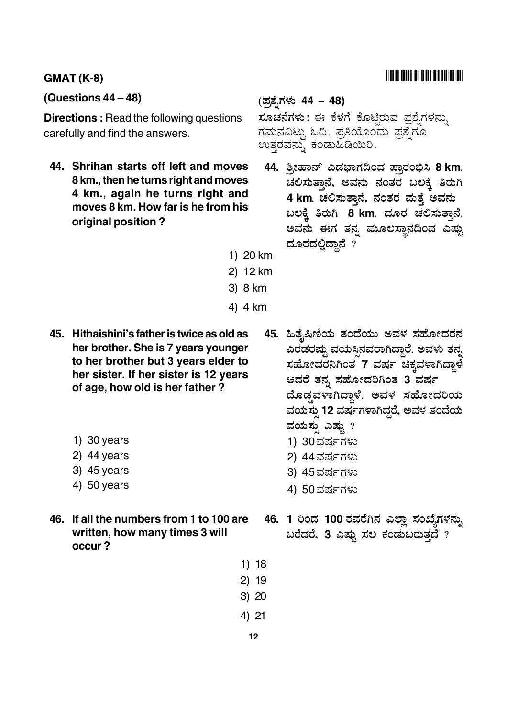#### **GMAT (K-8)**

#### **(Questions 44 – 48)**

**Directions :** Read the following questions carefully and find the answers.

**44. Shrihan starts off left and moves 8 km., then he turns right and moves 4 km., again he turns right and moves 8 km. How far is he from his original position ?**

#### ?# (4% & **44 – 48)**

: % & @ 1 - - ಗಮನವಿಟ್ಳು ಓದಿ. ಪ್ರತಿಯೊಂದು ಪ್ರಶ್ನೆಗೊ .<br>ಉತ್ತರವನ್ನು ಕಂಡುಹಿಡಿಯಿರಿ.

- .<br>44. ಶ್ರೀಹಾನ್ ಎಡಭಾಗದಿಂದ ಪಾರಂಭಿಸಿ 8 km. \_<br>ಚಲಿಸುತಾನೆ. ಅವನು ನಂತರ ಬಲಕೆ ತಿರುಗಿ **4 km**": B A 
 - 7 <sub>ಬಲಕ್ಕೆ</sub> ತಿರುಗಿ 8 km. ದೂರ ಚಲಿಸುತ್ತಾನೆ. ಅವನು ಈಗ ತನ್ನ ಮೂಲಸ್ಥಾನದಿಂದ ಎಷ್ಟು . .<br>ದೂರದಲಿದಾನೆ ?
- 1) 20 km
- 2) 12 km
- 3) 8 km
- 4) 4 km
- **45. Hithaishini's father is twice as old as her brother. She is 7 years younger to her brother but 3 years elder to her sister. If her sister is 12 years of age, how old is her father ?**
	- 1) 30 years
	- 2) 44 years
	- 3) 45 years
	- 4) 50 years
- **46. If all the numbers from 1 to 100 are written, how many times 3 will occur ?**
- .<br>45. ಹಿತೈಷಿಣಿಯ ತಂದೆಯು ಅವಳ ಸಹೋದರನ ಎರಡರಷ್ತು ವಯಸಿನವರಾಗಿದಾರೆ. ಅವಳು ತನ್ನ ಸಹೋದರನಿಗಿಂತ<sup>ೆ</sup>7 ವರ್ಷ ಚಿಕ್ಕವಳಾಗಿದ್ದಾಳೆ ಆದರೆ ತನ್ನ ಸಹೋದರಿಗಿಂತ 3<sup>°</sup>ವರ್ಷ ದೊಡ್ಡವಳಾಗಿದ್ದಾಳೆ. ಅವಳ ಸಹೋದರಿಯ ವಯಸು 12 ವರ್ಷಗಳಾಗಿದ್ದರೆ, ಅವಳ ತಂದೆಯ ವಯಸು ಎಷ್ಟು  $\overline{\phantom{a}}$ 1) 30ವರ್ಷಗಳು 2) 44ವರ್ಷಗಳ<mark>ು</mark>
	- 3) 45ವರ್ಷಗಳ<mark>ು</mark>
	- 4) 50ವರ್ಷಗಳ<mark>ು</mark>
- 46. 1 ರಿಂದ 100 ರವರೆಗಿನ ಎಲ್ಲಾ ಸಂಖ್ಯೆಗಳ<mark>ನ್</mark>ಸು <u>ಬರೆದರೆ, 3 ಎಷ್</u>ವು ಸಲ ಕಂಡುಬರುತ್ತದೆ ?
- 1) 18
- 2) 19
- 3) 20
- 4) 21
	- **12**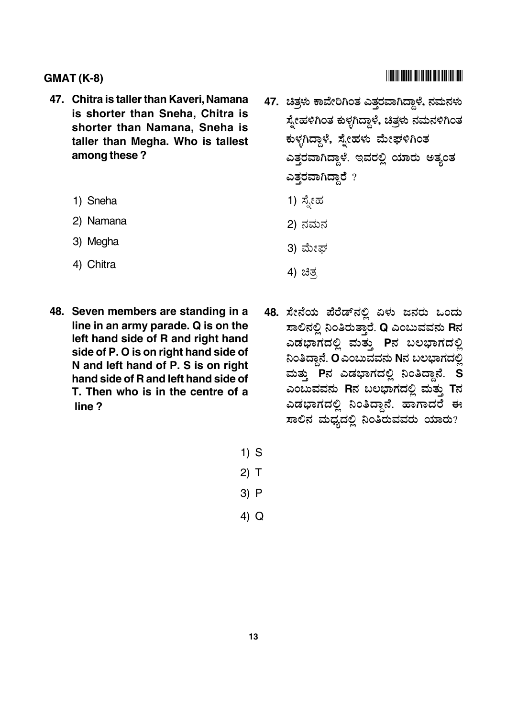- 47. Chitra is taller than Kaveri, Namana is shorter than Sneha, Chitra is shorter than Namana, Sneha is taller than Megha. Who is tallest among these?
	- 1) Sneha
	- 2) Namana
	- 3) Megha
	- 4) Chitra
- 48. Seven members are standing in a line in an army parade. Q is on the left hand side of R and right hand side of P. O is on right hand side of N and left hand of P. S is on right hand side of R and left hand side of T. Then who is in the centre of a line?
- 
- 47. ಚಿತ್ರಳು ಕಾವೇರಿಗಿಂತ ಎತ್ತರವಾಗಿದ್ದಾಳೆ, ನಮನಳು ಸ್ತೇಹಳಿಗಿಂತ ಕುಳ್ಳಗಿದ್ದಾಳೆ, ಚಿತ್ರಳು ನಮನಳಿಗಿಂತ ಕುಳ್ಳಗಿದ್ದಾಳೆ, ಸ್ನೇಹಳು ಮೇಘಳಿಗಿಂತ ಎತ್ತರವಾಗಿದ್ದಾಳೆ. ಇವರಲ್ಲಿ ಯಾರು ಅತ್ಯಂತ ಎತ್ತರವಾಗಿದ್ದಾರೆ ?
	- 1) ಸ್ಪೇಹ
	- 2) ನಮನ
	- 3) ಮೇಫ್
	- 4) ಚಿತ್ರ
- 48. ಸೇನೆಯ ಪೆರೆಡ್ ನಲ್ಲಿ ಏಳು ಜನರು ಒಂದು ಸಾಲಿನಲ್ಲಿ ನಿಂತಿರುತ್ತಾರೆ. Q ಎಂಬುವವನು Rನ ಎಡಭಾಗದಲ್ಲಿ ಮತ್ತು Pನ ಬಲಭಾಗದಲ್ಲಿ ನಿಂತಿದ್ದಾನೆ. O ಎಂಬುವವನು Nನ ಬಲಭಾಗದಲ್ಲಿ ಮತ್ತು Pನ ಎಡಭಾಗದಲ್ಲಿ ನಿಂತಿದ್ದಾನೆ. S ಎಂಬುವವನು Rನ ಬಲಭಾಗದಲ್ಲಿ ಮತ್ತು Tನ ಎಡಭಾಗದಲ್ಲಿ ನಿಂತಿದ್ದಾನೆ. ಹಾಗಾದರೆ ಈ ಸಾಲಿನ ಮಧ್ಯದಲ್ಲಿ ನಿಂತಿರುವವರು ಯಾರು?
- $1)$  S
- $2)$  T
- $3) P$
- $4)$  Q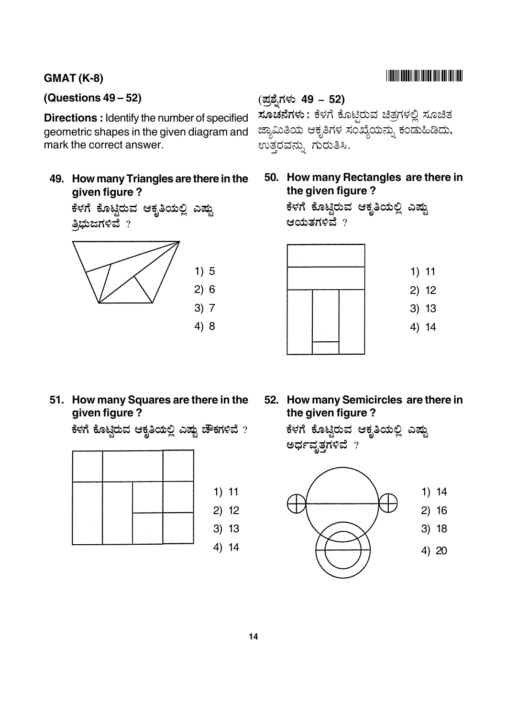#### **GMAT (K-8)**

#### **(Questions 49 – 52)**

**Directions : Identify the number of specified** geometric shapes in the given diagram and mark the correct answer.

**49. How many Triangles are there in the given figure ?**

> ಕೆಳಗೆ ಕೊಟಿರುವ ಆಕೃತಿಯಲಿ ಎಷು ತ್ತಿಭುಜಗಳಿವೆ  $?$



# ?#( 4% & **49 – 52)**

: % & @ - - ?+ )\* ?+ .<br>ಜಾಮಿತಿಯ ಆಕೃತಿಗಳ ಸಂಖೆಯನ್ನು ಕಂಡುಹಿಡಿದು. ..<br>ಉತ್ತರವನ್ನು ಗುರುತಿಸಿ.

**50. How many Rectangles are there in the given figure ?**

ಕೆಳಗೆ ಕೊಟಿರುವ ಆಕ್ಷತಿಯಲಿ ಎಷು ಆಯತಗಳಿವೆ $_2$ 



**51. How many Squares are there in the given figure ?**

ಕೆಳಗೆ ಕೊಟಿರುವ ಆಕ್ರತಿಯಲಿ ಎಷ್ತು ಚೌಕಗಳಿವೆ ?



**52. How many Semicircles are there in the given figure ?**

ಕೆಳಗೆ ಕೊಟಿರುವ ಆಕ್ತತಿಯಲಿ ಎಷ<mark>ು</mark> ಅರ್ಧವೃತ್ತಗಳಿವೆ  $?$ 

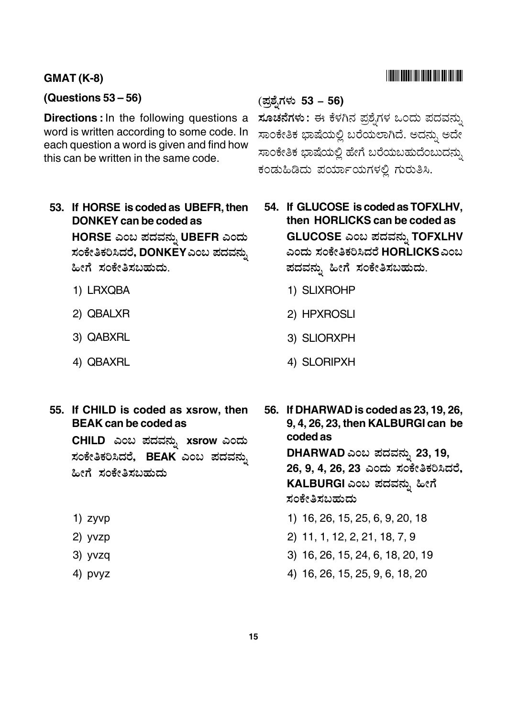#### **GMAT (K-8)**

#### **(Questions 53 – 56)**

**Directions :**In the following questions a word is written according to some code. In each question a word is given and find how this can be written in the same code.

**53. If HORSE is coded as UBEFR, then DONKEY can be coded as**

 $H$ ORSE ಎಂಬ ಪದವನ್ನು UBEFR ಎಂದು ಸಂಕೇತಿಕರಿಸಿದರೆ, DONKEY ಎಂಬ ಪದವನ್ನು ಹೀಗೆ ಸಂಕೇತಿಸಬಹುದು.

- 1) LRXQBA
- 2) QBALXR
- 3) QABXRL
- 4) QBAXRL
- **55. If CHILD is coded as xsrow, then BEAK can be coded as**

 $CHILD$  ಎಂಬ ಪದವನ್ನು xsrow ಎಂದು ಸಂಕೇತಿಕರಿಸಿದರೆ, BEAK ಎಂಬ ಪದವನ್ನು ಹೀಗೆ ಸಂಕೇತಿಸಬಹುದು

- 1) zyvp
- 2) yvzp
- 3) yvzq
- 4) pvyz

#### ?#( 4% & **53 – 56)**

**ಸೂಚನೆಗಳು**: ಈ ಕೆಳಗಿನ ಪಶೆ.ಗಳ ಒಂದು ಪದವನು. .<br>ಸಾಂಕೇತಿಕ ಭಾಷೆಯಲ್ಲಿ ಬರೆಯಲಾಗಿದೆ. ಅದನ್ನು ಅದೇ .<br>ಸಾಂಕೇತಿಕ ಬಾಷೆಯಲಿ ಹೇಗೆ ಬರೆಯಬಹುದೆಂಬುದನು. .<br>ಕಂಡುಹಿಡಿದು ಪರ್ಯಾಯಗಳಲಿ ಗುರುತಿಸಿ.

- **54. If GLUCOSE is coded as TOFXLHV, then HORLICKS can be coded as**  $GLUCOSE$  ಎಂಬ ಪದವನ್ನು TOFXLHV ಎಂದು ಸಂಕೇತಿಕರಿಸಿದರೆ HORLICKSಎಂಬ ಪದವನ್ನು ಹೀಗೆ ಸಂಕೇತಿಸಬಹುದು.
	- 1) SLIXROHP
	- 2) HPXROSLI
	- 3) SLIORXPH
	- 4) SLORIPXH

**56. If DHARWAD is coded as 23, 19, 26, 9, 4, 26, 23, then KALBURGI can be coded as DHARWAD** '# 4**23, 19,** .<br>26, 9, 4, 26, 23 ಎಂದು ಸಂಕೇತಿಕರಿಸಿದರೆ, KALBURGI ಎಂಬ ಪದವನ್ನು ಹೀಗೆ ಸಂಕೇತಿಸಬಹುದು 1) 16, 26, 15, 25, 6, 9, 20, 18

- 2) 11, 1, 12, 2, 21, 18, 7, 9
- 3) 16, 26, 15, 24, 6, 18, 20, 19
- 4) 16, 26, 15, 25, 9, 6, 18, 20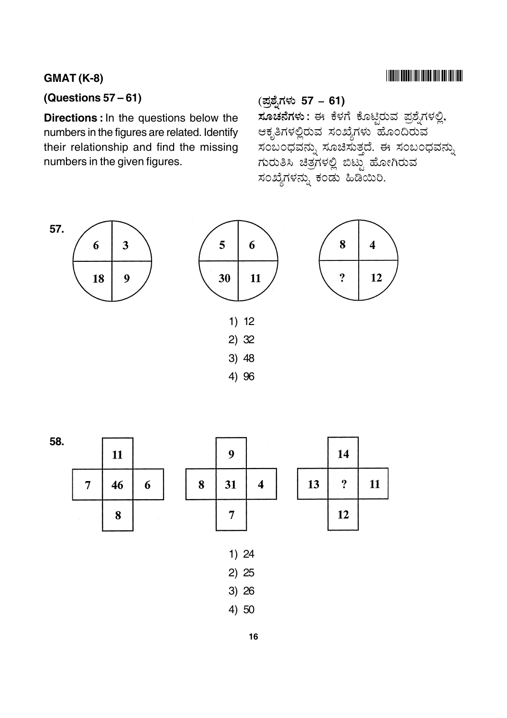## $GMAT (K-8)$

## **(Questions 57 – 61)**

**Directions :**In the questions below the numbers in the figures are related. Identify their relationship and find the missing numbers in the given figures.

# ?# (4% & **57 – 61)**

\_\_\_\_<br>**ಸೂಚನೆಗಳು** : ಈ ಕೆಳಗೆ ಕೊಟಿರುವ ಪಶೆ.ಗಳಲಿ. ಆಕೃತಿಗಳಲಿರುವ ಸಂಖೆ.ಗಳು ಹೊಂದಿರುವ ಸಂಬಂದವನು. ಸೂಚಿಸುತದೆ. ಈ ಸಂಬಂದವನು. ಗುರುತಿಸಿ ಚಿತಗಳಲಿ ಬಿಟು ಹೋಗಿರುವ .<br>ಸಂಖೆ.ಗಳನ್ನು ಕಂಡು ಹಿಡಿಯಿರಿ.









- 2) 25
- 3) 26
- 4) 50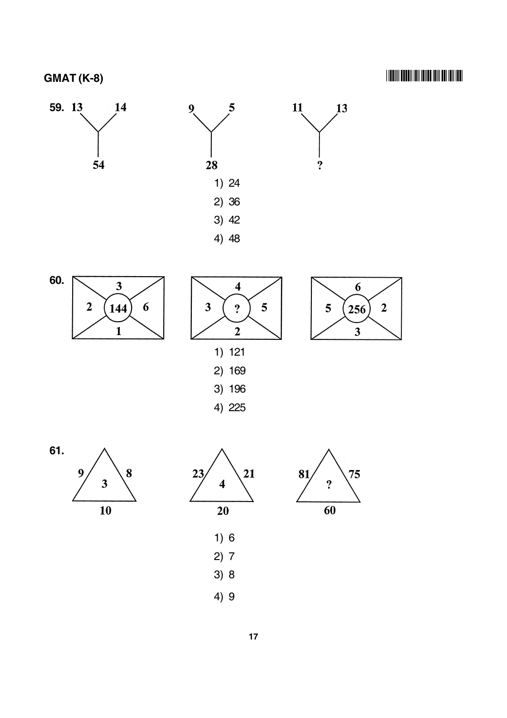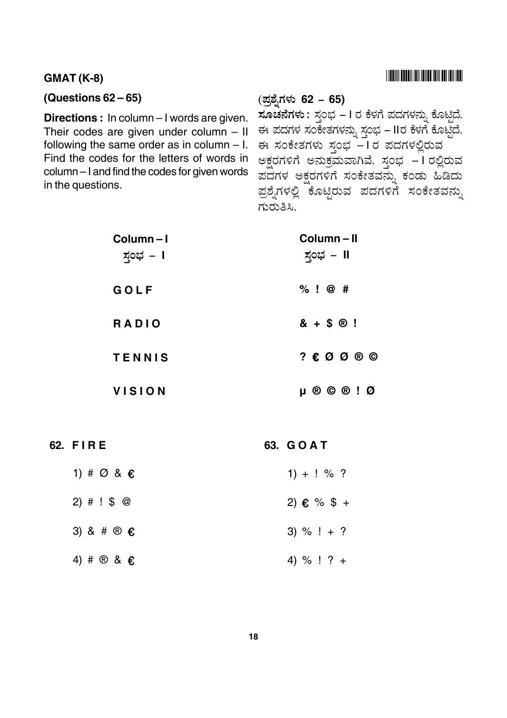## 

#### **GMAT (K-8)**

#### (Questions  $62 - 65$ )

Directions : In column - I words are given. Their codes are given under column  $-$  II following the same order as in column  $-1$ . Find the codes for the letters of words in column - I and find the codes for given words in the questions.

#### (ಪ್ರಶ್ನೆಗಳು 62 – 65)

ಸೂಚನೆಗಳು : ಸ್ಗಂಭ - I ರ ಕೆಳಗೆ ಪದಗಳನ್ನು ಕೊಟ್ಟಿದೆ. ಈ ಪದಗಳ ಸಂಕೇತಗಳನ್ನು ಸ್ತಂಭ – IIರ ಕೆಳಗೆ ಕೊಟ್ಟಿದೆ. ಈ ಸಂಕೇತಗಳು ಸ್ತಂಭ - I ರ ಪದಗಳಲ್ಲಿರುವ ಅಕ್ಷರಗಳಿಗೆ ಅನುಕ್ರಮವಾಗಿವೆ. ಸ್ತಂಭ –1ರಲ್ಲಿರುವ ಪದಗಳ ಅಕ್ಷರಗಳಿಗೆ ಸಂಕೇತವನ್ನು ಕಂಡು ಹಿಡಿದು ಪ್ರಶ್ನೆಗಳಲ್ಲಿ ಕೊಟ್ಟಿರುವ ಪದಗಳಿಗೆ ಸಂಕೇತವನ್ನು ಗುರುತಿಸಿ.

| Column-I<br>ಸ್ತಂಭ – I | Column-II<br><u> ಸ್ತ</u> ಂಭ – II   |
|-----------------------|------------------------------------|
| GOLF                  | $%$ ! @ #                          |
| <b>RADIO</b>          | $8 + $0!$                          |
| <b>TENNIS</b>         | $? \& \oslash @ \oslash @ \oslash$ |
| <b>VISION</b>         | $\mu$ ® © ® ! Ø                    |

62. FIRE

63. GOAT

| 1) # $\varnothing$ & $\epsilon$ | $1) + ! \% ?$ |
|---------------------------------|---------------|
| $2)$ # ! \$ @                   | 2) € % \$ +   |
| 3) & # $\circledR$ $\in$        | 3) $\%$ ! + ? |
| 4) # $\circledcirc$ & $\in$     | 4) % ! ? +    |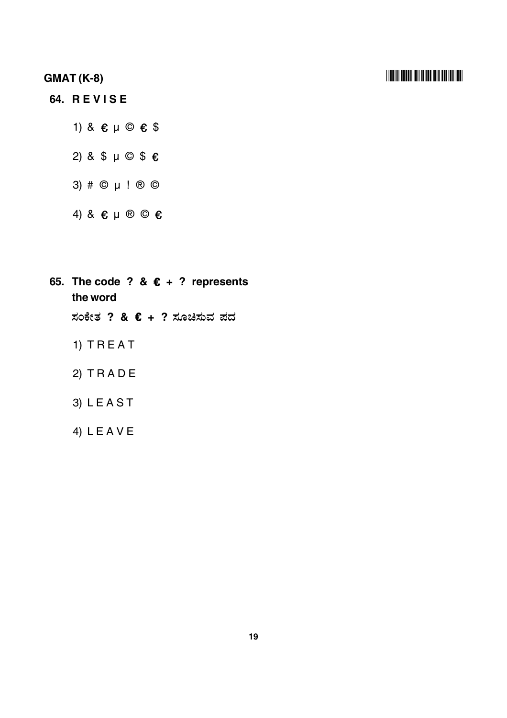#### **GMAT (K-8)** -

## **64. R E V I S E**

- 1) &  $\varepsilon \mu \odot \varepsilon$  \$
- 2) & \$ μ © \$ €
- 3) # © μ ! ® ©
- 4) &  $\varepsilon \mu \otimes \mathbb{O} \varepsilon$

65. The code ? &  $\epsilon$  + ? represents **the word** ಸಂಕೇತ ? & **€ + ?** ಸೂಚಿಸುವ ಪದ

1) T R E A T

2) T R A D E

- 3) L E A S T
- 4) L E A V E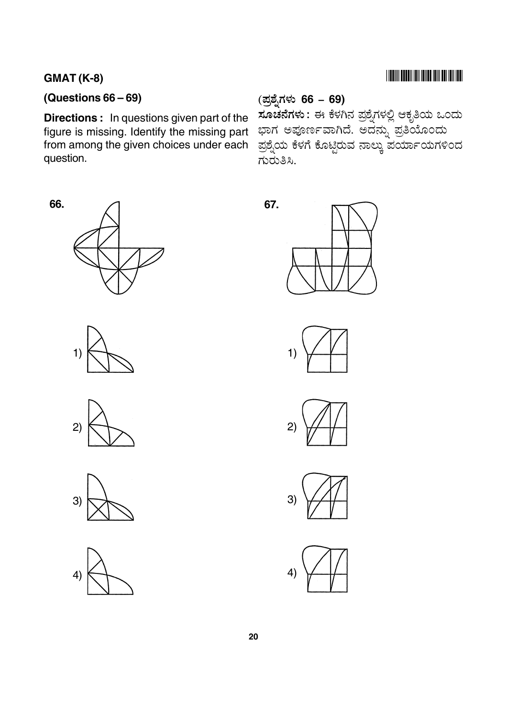## $GMAT (K-8)$

**66.**

## **(Questions 66 – 69)**

**Directions :** In questions given part of the figure is missing. Identify the missing part from among the given choices under each question.

## ?#( 4% & **66 – 69)**

್ತ್ತ್ನ<br>**ಸೂಚನೆಗಳು :** ಈ ಕೆಳಗಿನ ಪಶೆ.ಗಳಲಿ ಆಕ.ತಿಯ ಒಂದು ಬಾಗ ಅಪೂರ್ಣವಾಗಿದೆ. ಅದನು ಪತಿಯೊಂದು ಪ್ರಶ್ನೆಯ ಕೆಳಗೆ ಕೊಟ್ಟಿರುವ ನಾಲ್ಕು ಪರ್ಯಾಯಗಳಿಂದ  $R$  $\sim$  $8.$ 



1)















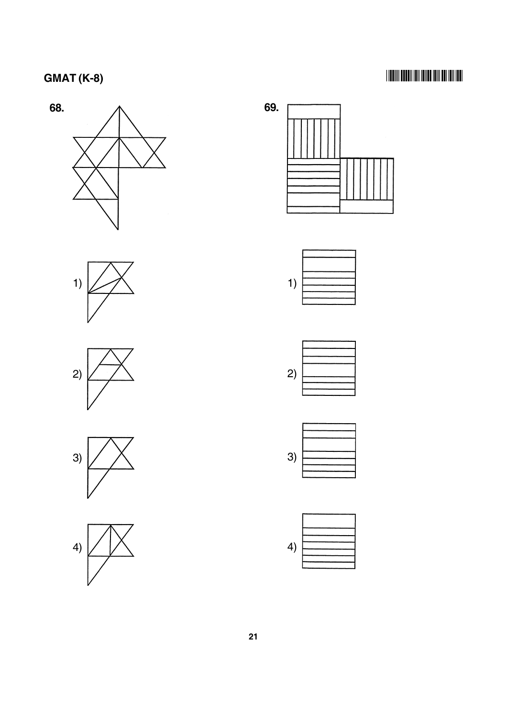## -



















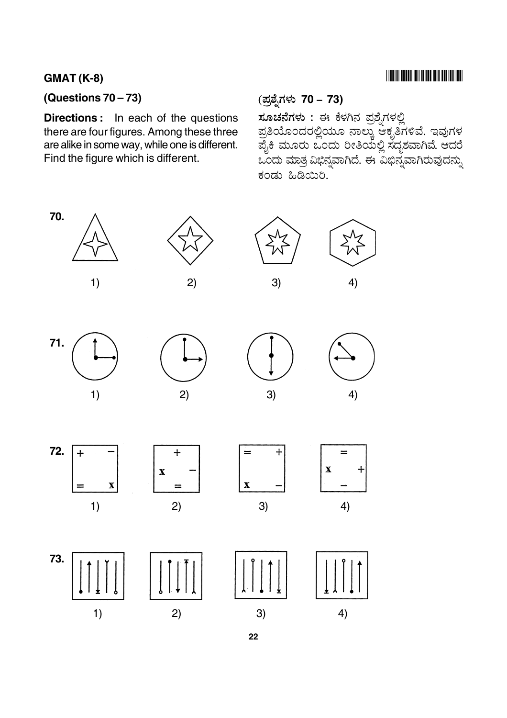## $GMAT (K-8)$

## **(Questions 70 – 73)**

**Directions :** In each of the questions there are four figures. Among these three are alike in some way, while one is different. Find the figure which is different.

## ?#( 4% & **70 – 73)**

<mark>ಸೂಚನೆಗಳು :</mark> ಈ ಕೆಳಗಿನ ಪಶೆ.ಗಳಲಿ ಪ್ರತಿಯೊಂದರಲ್ಲಿಯೂ ನಾಲ್ಕು ಆಕೃತಿಗಳಿವೆ. ಇವುಗಳ ಪ್ರಕಿ ಮೂರು ಒಂದು ರೀತಿಯಲ ಸದಶವಾಗಿವೆ. ಆದರೆ ಒಂದು ಮಾತ ವಿಬಿನವಾಗಿದೆ. ಈ ವಿಬಿನ ವಾಗಿರುವುದನು. .<br>ಕಂಡು ಹಿಡಿಯಿರಿ.

 $=$ 

 $\mathbf X$ 

 $\ddot{}$ 



**22**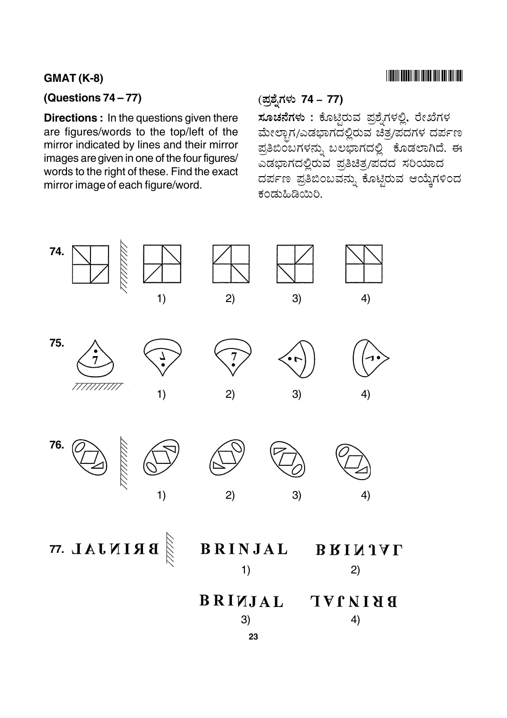#### **GMAT (K-8)** -

## **(Questions 74 – 77)**

**Directions :** In the questions given there are figures/words to the top/left of the mirror indicated by lines and their mirror images are given in one of the four figures/ words to the right of these. Find the exact mirror image of each figure/word.

# ?#( 4% & **74 – 77)**

<mark>ಸೂಚನೆಗಳು :</mark> ಕೊಟಿರುವ ಪಶೆ.ಗಳಲಿ. ರೇಖೆಗಳ ಮೇಲಾಗ/ಎಡಬಾಗದಲಿರುವ ಚಿತ್ರಪದಗಳ ದರ್ಪಣ ಪತಿಬಿಂಬಗಳನು. ಬಲಬಾಗದಲಿ ತೊಡಲಾಗಿದೆ. ಈ \_<br>ಎಡಬಾಗದಲಿರುವ ಪತಿಚಿತ ⁄ಪದದ ಸರಿಯಾದ ದರ್ಪಣ ಪ್ರತಿಬಿಂಬವನ್ನು ಕೊಟ್ಟಿರುವ ಆಯ್ಕೆಗಳಿಂದ .<br>ಕಂಡುಹಿಡಿಯಿರಿ.

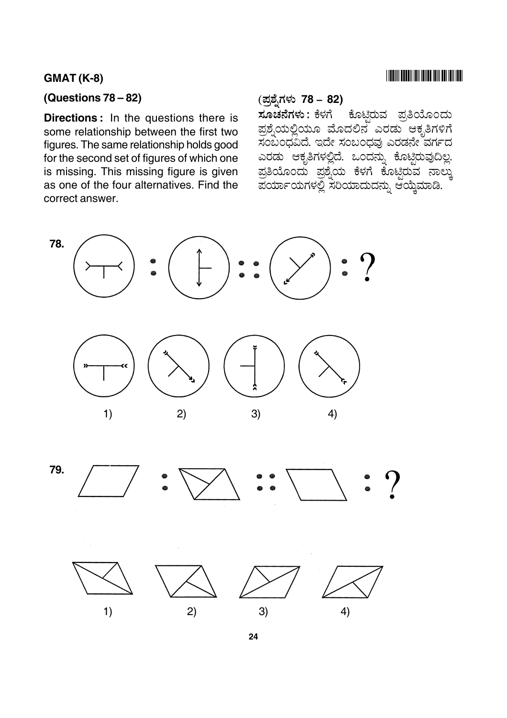## $GMAT (K-8)$

#### **(Questions 78 – 82)**

**Directions :** In the questions there is some relationship between the first two figures. The same relationship holds good for the second set of figures of which one is missing. This missing figure is given as one of the four alternatives. Find the correct answer.

#### ?#( 4% & **78 – 82)**

: % & @ - -ಕೊಟಿರುವ ಪ್ರತಿಯೊಂದು ಪಶೆ.ಯಲಿಯೂ ಮೊದಲಿನ ಎರಡು ಆಕೃತಿಗಳಿಗೆ ಸಂಬಂದವಿದೆ. ಇದೇ ಸಂಬಂದವು ಎರಡನೇ ವರ್ಗದ ಎರಡು ಆಕತಿಗಳಲಿದೆ. ಒಂದನು ಕೊಟಿರುವದಿಲ. ಪ್ರತಿಯೊಂದು ಪಶ್ರೆಯ ಕೆಳಗೆ ಕೊಟಿರುವ <u>ನಾಲ್ತು</u> ಪರ್ಯಾಯಗಳಲ್ಲಿ ಸರಿಯಾದುದನ್ನು ಆಯ್ಕೆಮಾಡಿ.







**24**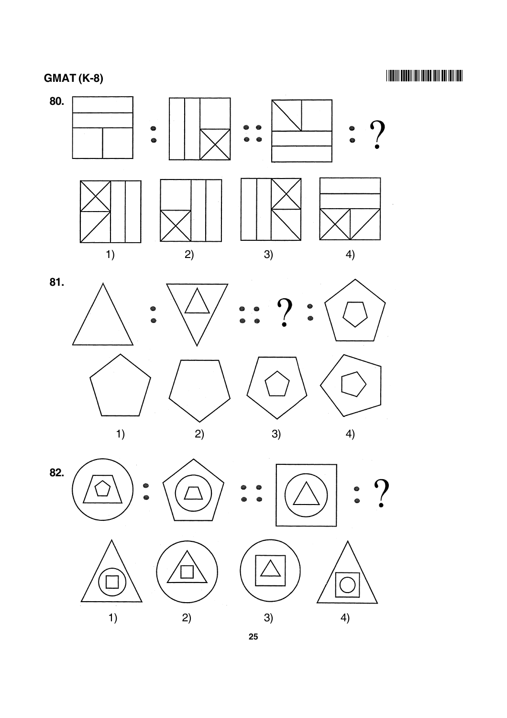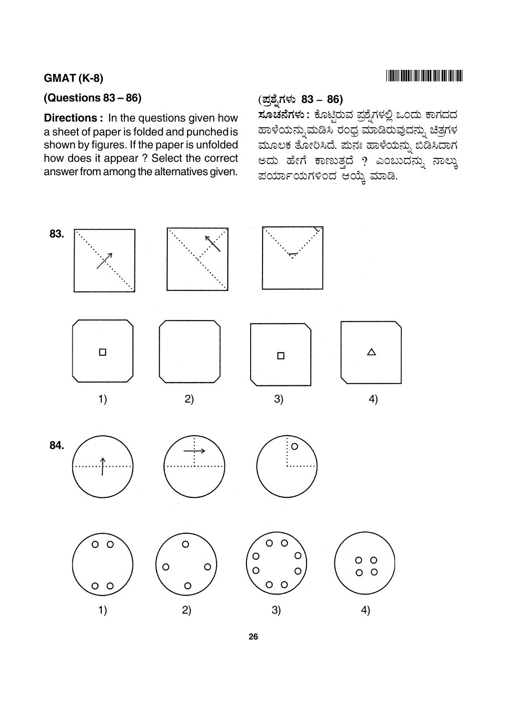## $GMAT (K-8)$

#### **(Questions 83 – 86)**

**Directions :** In the questions given how a sheet of paper is folded and punched is shown by figures. If the paper is unfolded how does it appear ? Select the correct answer from among the alternatives given.

#### ?#( 4% & **83 – 86)**

: % & @ - )\* 6 - ಹಾಳೆಯನು ಮಡಿಸಿ ರಂದ ಮಾಡಿರುವುದನು. ಚಿತಗಳ ಮೂಲಕ ತೋರಿಸಿದೆ. ಮನಃ ಹಾಳೆಯನ್ನು ಬಿಡಿಸಿದಾಗ ಅದು ಹೇಗೆ ಕಾಣುತ್ತದೆ ? ಎಂಬುದನ್ನು ನಾಲ್ಕು ಪರ್ಯಾಯಗಳಿಂದ ಆಯ್ಕೆ ಮಾಡಿ.

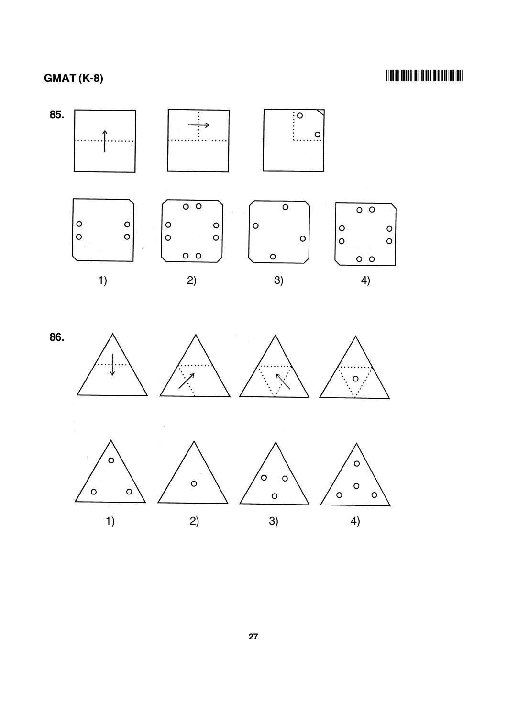## -

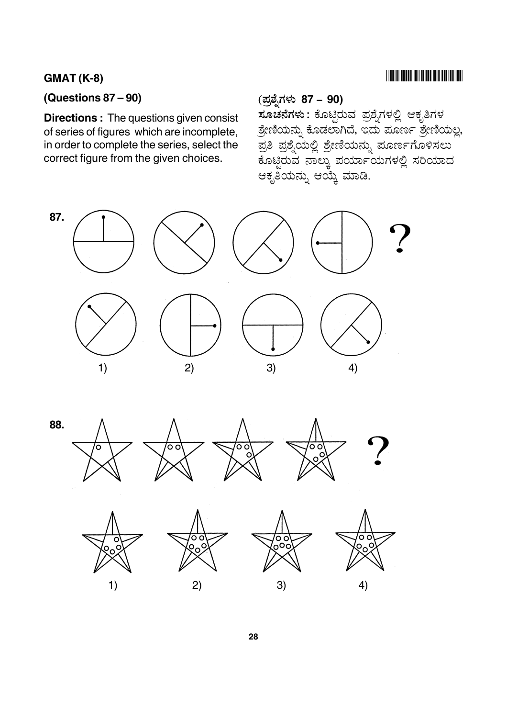### $GMAT (K-8)$

### **(Questions 87 – 90)**

**Directions :** The questions given consist of series of figures which are incomplete, in order to complete the series, select the correct figure from the given choices.

#### ?#( 4% & **87 – 90)**

.\_ ್ನ<br>**ಸೂಚನೆಗಳು :** ಕೊಟಿರುವ ಪಶೆ.ಗಳಲಿ ಆಕೃತಿಗಳ .<br>ಶೇಣಿಯನು, ಕೊಡಲಾಗಿದೆ. ಇದು ಪೂರ್ಣ ಶೇಣಿಯಲ. \_<br>ಪತಿ ಪಶೆ.ಯಲಿ ಶೇಣಿಯನು. ಮೂರ್ಣಗೊಳಿಸಲು ್ಯಾಪ್ತ್ರವ ಸಾಲ್ಕು ಪರ್ಯಾಯಗಳಲ್ಲಿ ಸರಿಯಾದ ಆಕೃತಿಯನ್ನು ಆಯ್ಕೆ ಮಾಡಿ.



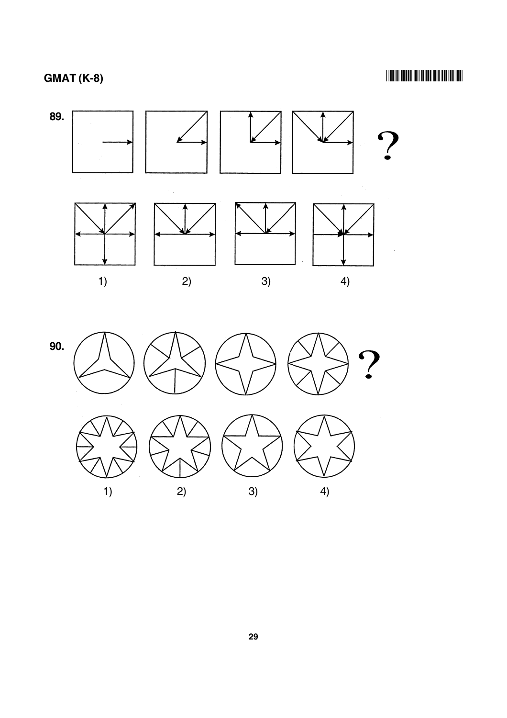

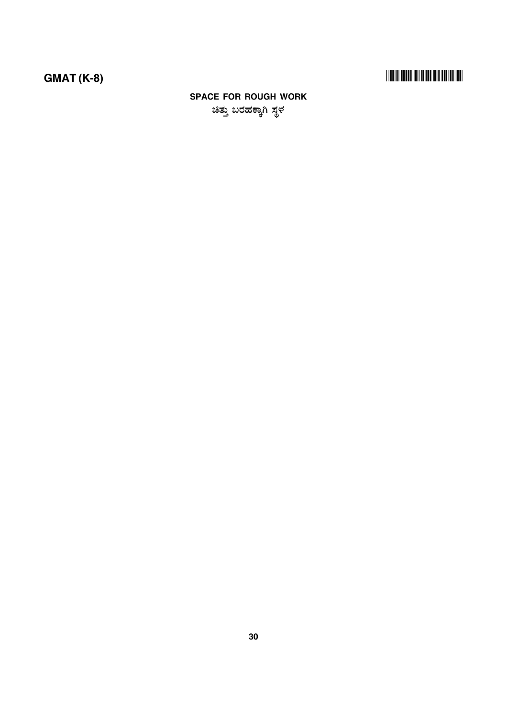# 

## **SPACE FOR ROUGH WORK** ಚಿತ್ತು ಬರಹಕ್ಕಾಗಿ ಸ್ಥಳ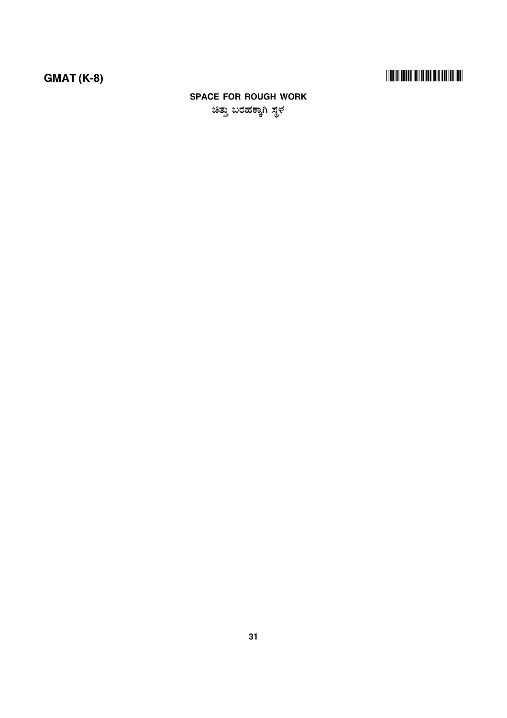# 

## **SPACE FOR ROUGH WORK** ಚಿತ್ತು ಬರಹಕ್ಕಾಗಿ ಸ್ಥಳ